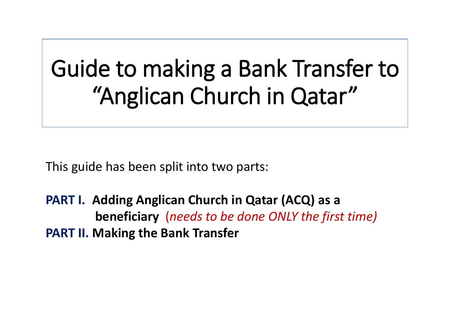# Guide to making a Bank Transfer to "Anglican Church in Qatar"

This guide has been split into two parts:

**PART I. Adding Anglican Church in Qatar (ACQ) as a beneficiary** (*needs to be done ONLY the first time)* **PART II. Making the Bank Transfer**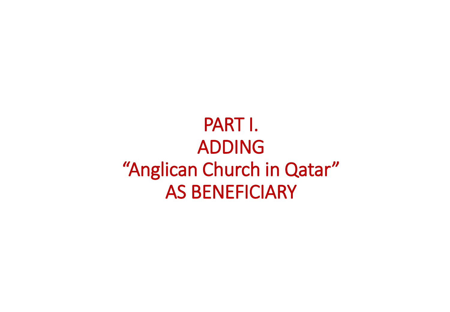PART I. ADDING "Anglican Church in Qatar" AS BENEFICIARY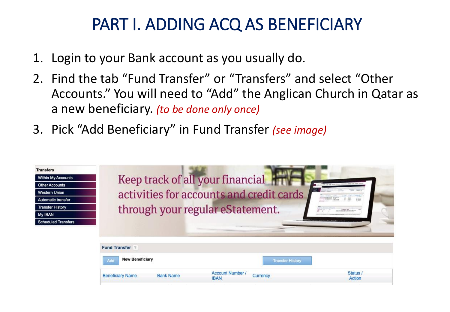- 1. Login to your Bank account as you usually do.
- 2. Find the tab "Fund Transfer" or "Transfers" and select "Other Accounts." You will need to "Add" the Anglican Church in Qatar as a new beneficiary. *(to be done only once)*
- 3. Pick "Add Beneficiary" in Fund Transfer *(see image)*

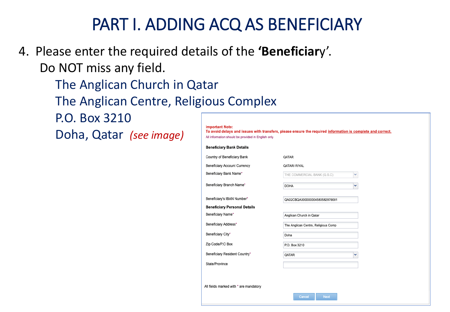- 4. Please enter the required details of the **'Beneficiar**y'. Do NOT miss any field.
	- The Anglican Church in Qatar
	- The Anglican Centre, Religious Complex
	- P.O. Box 3210
	- Doha, Qatar *(see image)*

| Important Note: |                                                                                                           |  |  |
|-----------------|-----------------------------------------------------------------------------------------------------------|--|--|
|                 | To avoid delavs and issues with transfers, please ensure the required information is complete and correct |  |  |

All information should be provided in English only

| Country of Beneficiary Bank                       | QATAR                               |   |
|---------------------------------------------------|-------------------------------------|---|
| Beneficiary Account Currency                      | QATARI RIYAL                        |   |
| Beneficiary Bank Name*                            | THE COMMERCIAL BANK (Q.S.C)         | v |
| Beneficiary Branch Name*                          | <b>DOHA</b>                         | v |
| Beneficiary's IBAN Number*                        | QA02CBQA000000004580582979001       |   |
| <b>Beneficiary Personal Details</b>               |                                     |   |
| Beneficiary Name*                                 | Anglican Church in Qatar            |   |
| Beneficiary Address*                              | The Anglican Centre, Religious Comp |   |
| Beneficiary City*                                 | Doha                                |   |
|                                                   | P.O. Box 3210                       |   |
|                                                   |                                     |   |
| Zip Code/P.O Box<br>Beneficiary Resident Country* | QATAR                               | v |

All fields marked with \* are mandatory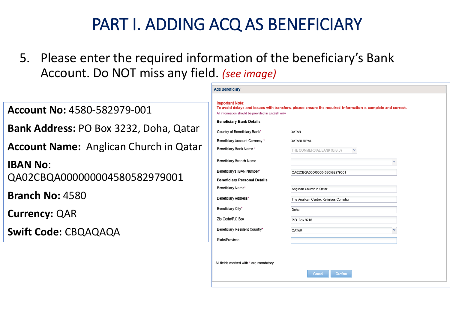**Add Beneficiary** 

All fields marked with \* are mandatory

correct.

Confirm

5. Please enter the required information of the beneficiary's Bank Account. Do NOT miss any field. *(see image)*

| <b>Account No: 4580-582979-001</b>            | <b>Important Note:</b><br>To avoid delays and issues with transfers, please ensure the required information is complete and co<br>All information should be provided in English only |                                                                    |  |
|-----------------------------------------------|--------------------------------------------------------------------------------------------------------------------------------------------------------------------------------------|--------------------------------------------------------------------|--|
| Bank Address: PO Box 3232, Doha, Qatar        | <b>Beneficiary Bank Details</b><br>Country of Beneficiary Bank*                                                                                                                      | QATAR                                                              |  |
|                                               | Beneficiary Account Currency *                                                                                                                                                       | <b>QATARI RIYAL</b>                                                |  |
| <b>Account Name:</b> Anglican Church in Qatar | Beneficiary Bank Name *                                                                                                                                                              | IV.<br>THE COMMERCIAL BANK (Q.S.C)                                 |  |
| <b>IBAN No:</b>                               | Beneficiary Branch Name                                                                                                                                                              | $\checkmark$                                                       |  |
| QA02CBQA000000004580582979001                 | Beneficiary's IBAN Number*                                                                                                                                                           | QA02CBQA000000004580582979001                                      |  |
|                                               | <b>Beneficiary Personal Details</b><br>Beneficiary Name*                                                                                                                             |                                                                    |  |
| <b>Branch No: 4580</b>                        | Beneficiary Address*                                                                                                                                                                 | Anglican Church in Qatar<br>The Anglican Centre, Religious Complex |  |
|                                               | Beneficiary City*                                                                                                                                                                    | Doha                                                               |  |
| <b>Currency: QAR</b>                          | Zip Code/P.O Box                                                                                                                                                                     | P.O. Box 3210                                                      |  |
| <b>Swift Code: CBQAQAQA</b>                   | Beneficiary Resident Country*                                                                                                                                                        | QATAR                                                              |  |
|                                               | State/Province                                                                                                                                                                       |                                                                    |  |
|                                               |                                                                                                                                                                                      |                                                                    |  |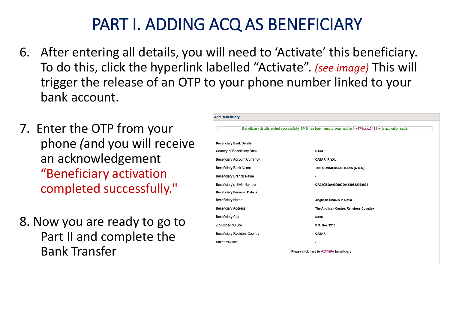- 6. After entering all details, you will need to 'Activate' this beneficiary. To do this, click the hyperlink labelled "Activate". *(see image)* This will trigger the release of an OTP to your phone number linked to your bank account.
- 7. Enter the OTP from your phone *(*and you will receive an acknowledgement "Beneficiary activation completed successfully."
- 8. Now you are ready to go to Part II and complete the Bank Transfer

| Beneficiary details added successfully, SMS has been sent to your mobile # +974xxxx5191 with activation code |                                        |  |
|--------------------------------------------------------------------------------------------------------------|----------------------------------------|--|
| <b>Beneficiary Bank Details</b>                                                                              |                                        |  |
| Country of Beneficiary Bank                                                                                  | QATAR                                  |  |
| Beneficiary Account Currency                                                                                 | <b>QATARI RIYAL</b>                    |  |
| Beneficiary Bank Name                                                                                        | THE COMMERCIAL BANK (Q.S.C)            |  |
| Beneficiary Branch Name                                                                                      | ۰                                      |  |
| Beneficiary's IBAN Number                                                                                    | QA02CBQA000000004580582979001          |  |
| <b>Beneficiary Personal Details</b>                                                                          |                                        |  |
| Beneficiary Name                                                                                             | Anglican Church in Qatar               |  |
| <b>Beneficiary Address</b>                                                                                   | The Anglican Centre, Religious Complex |  |
| <b>Beneficiary City</b>                                                                                      | Doha                                   |  |
| Zip Code/P.O Box                                                                                             | P.O. Box 3210                          |  |
| Beneficiary Resident Country                                                                                 | QATAR                                  |  |
| State/Province                                                                                               | $\blacksquare$                         |  |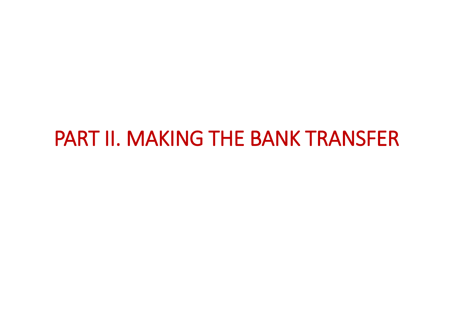## PART II. MAKING THE BANK TRANSFER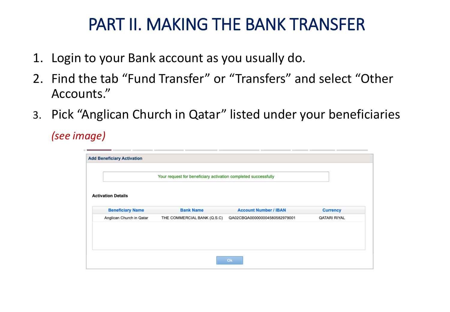#### PART II. MAKING THE BANK TRANSFER

- 1. Login to your Bank account as you usually do.
- 2. Find the tab "Fund Transfer" or "Transfers" and select "Other Accounts."
- 3. Pick "Anglican Church in Qatar" listed under your beneficiaries

*(see image)*

| <b>Add Beneficiary Activation</b> |                                                                |                               |                 |
|-----------------------------------|----------------------------------------------------------------|-------------------------------|-----------------|
|                                   |                                                                |                               |                 |
|                                   |                                                                |                               |                 |
|                                   | Your request for beneficiary activation completed successfully |                               |                 |
|                                   |                                                                |                               |                 |
| <b>Activation Details</b>         |                                                                |                               |                 |
|                                   |                                                                |                               |                 |
| <b>Beneficiary Name</b>           | <b>Bank Name</b>                                               | <b>Account Number / IBAN</b>  | <b>Currency</b> |
| Anglican Church in Qatar          | THE COMMERCIAL BANK (Q.S.C)                                    | QA02CBQA000000004580582979001 | QATARI RIYAL    |
|                                   |                                                                |                               |                 |
|                                   |                                                                |                               |                 |
|                                   |                                                                |                               |                 |
|                                   |                                                                |                               |                 |
|                                   |                                                                |                               |                 |
|                                   |                                                                | Ok                            |                 |